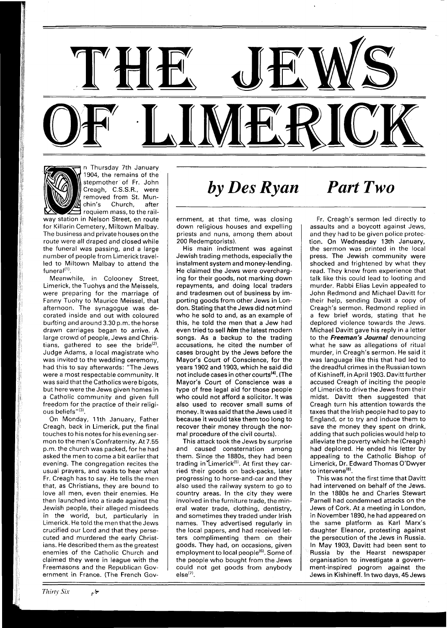



n Thursday 7th January 1904, the remains of the stepmother of Fr. John Creagh, C.S.S.R., were removed from St. Munchin's Church, after requiem mass, to the rail-

way station in Nelson Street, en route for Killarin Cemetery, Miltown Malbay. The business and private houses on the route were all draped and closed while the funeral was passing, and a large number of people from Limerick travelled to Miltown Malbay to attend the funeral<sup>(1)</sup>.

Meanwhile, in Colooney Street, Limerick, the Tuohys and the Meissels, were preparing for the marriage of Fanny Tuohy to Maurice Meissel, that afternoon. The synagogue was decorated inside and out with coloured burfting and around 3.30 p.m. the horse drawn carriages began to arrive. A large crowd of people, Jews and Christians, gathered to see the bride $(2)$ . Judge Adams, a local magistrate who was invited to the wedding ceremony, had this to say afterwards: "The Jews were a most respectable community. It was said that the Catholics were bigots, but here were the Jews given homes in a Catholic community and given full freedom for the practice of their religious beliefs" $(3)$ .

On Monday, 11th January, Father Creagh, back in Limerick, put the final touches to his notes for his evening sermon to the men's Confraternity. At 7.55 p.m. the church was packed, for he had asked the men to come a bit earlier that evening. The congregation recites the usual prayers, and waits to hear what Fr. Creagh has to say. He tells the men that, as Christians, they are bound to love all men, even their enemies. He then launched into a tirade against the Jewish people, their alleged misdeeds in the world, but, particularly in Limerick. He told the men that the Jews crucified our Lord and that they persecuted and murdered the early Christians. He described them as the greatest enemies of the Catholic Church and claimed they were in league with the Freemasons and the Republican Government in France. (The French Gov-

حيازير

## *by Des Ryan Part Two*

ernment, at that time, was closing down religious houses and expelling priests and nuns, among them about 200 Redemptorists).

His main indictment was against Jewish trading methods, especially the instalment system and money-lending. He claimed the Jews were overcharging for their goods, not marking down repayments, and doing local traders and tradesmen out of business by importing goods from other Jews in London. Stating that the Jews did not mind who he sold to and, as an example of this, he told the men that a Jew had even tried to sell **him** the latest modern songs. As a backup to the trading accusations, he cited the number of cases brought by the Jews before the Mayor's Court of Conscience, for the years 1902 and 1903, which he said did not include cases in other courts<sup>(4)</sup>. (The Mayor's Court of Conscience was a type of free legal aid for those people who could not afford a solicitor. It was also used to recover small sums of money. It was said that the Jews used it because it would take them too long to recover their money through the normal procedure of the civil courts).

This attack took the Jews by surprise and caused consternation among them. Since the 1880s, they had been trading in Limerick<sup> $(5)$ </sup>. At first they carried their goods on back-packs, later progressing to horse-and-car and they also used the railway system to go to country areas. In the city they were involved in the furniture trade, the mineral water trade, clothing, dentistry, and sometimes they traded under lrish names. They advertised regularly in the local papers, and had received letters complimenting them on their goods. They had, on occasions, given employment to local people<sup>(6)</sup>. Some of the people who bought from the Jews could not get goods from anybody  $else<sup>(7)</sup>$ .

Fr. Creagh's sermon led directly to assaults and a boycott against Jews, and they had to be given police protection. On Wednesday 13th January, the sermon was printed in the local press. The Jewish community were shocked and frightened by what they read. They knew from experience that talk like this could lead to looting and murder. Rabbi Elias Levin appealed to John Redmond and Michael Davitt for their help, sending Davitt a copy of Creagh's sermon. Redmond replied in a few brief words, stating that he deplored violence towards the Jews. Michael Davitt gave his reply in a letter to the **Freeman's Journal** denouncing what he saw as allegations of ritual murder, in Creagh's sermon. He said it was language like this that had led to the dreadful crimes in the Russian town of Kishineff, in April 1903. Davitt further accused Creagh of inciting the people of Limerick to drive the Jews from their midst. Davitt then suggested that Creagh turn his attention towards the taxes that the lrish people had to pay to England, or to try and induce them to save the money they spent on drink, adding that such policies would help to alleviate the poverty which he (Creagh) had deplored. He ended his letter by appealing to the Catholic Bishop of Limerick, Dr. Edward Thomas O'Dwyer to intervene<sup>(8)</sup>

This was not the first time that Davitt had intervened on behalf of the Jews. In the 1880s he and Charles Stewart Parnell had condemned attacks on the Jews of Cork. At a meeting in London, in November 1890, he had appeared on the same platform as Karl Marx's daughter Eleanor, protesting against the persecution of the Jews in Russia. In May 1903, Davitt had been sent to Russia by the Hearst newspaper organisation to investigate a government-inspired pogrom against the Jews in Kishineff. In two days, 45 Jews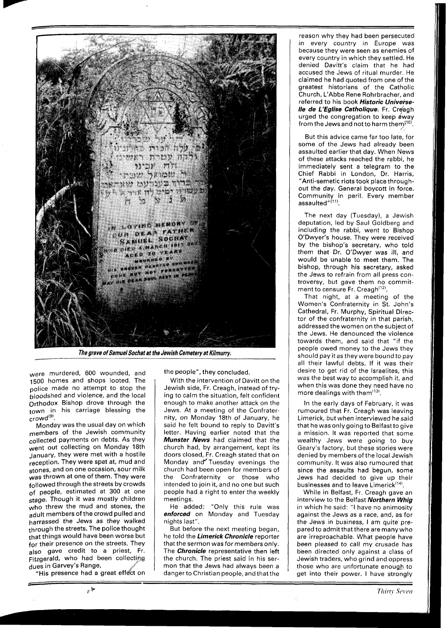,,,, - 11 11 12 m m າຂານນາ ברח מטי m , <sub>1979</sub>, 1972) ಾ LOVING MEMORY OEAR FATHER **SOCHAT CMARCH IDI** 

**The grave of Samuel Sochat at the Jewish Cemetery at Kilmurry.** 

were murdered, 600 wounded, and 1500 homes and shops looted. The police made no attempt to stop the bloodshed and violence, and the local Orthodox Bishop drove through the town in his carriage blessing the crowd<sup>(9)</sup>.

Monday was the usual day on which members of the Jewish community collected payments on debts. As they went out collecting on Monday 18th January, they were met with a hostile reception. They were spat at, mud and stones, and on one occasion, sour milk was thrown at one of them. They were followed through the streets by crowds of people, estimated at 300 at one stage. Though it was mostly children who threw the mud and stones, the adult members of the crowd pulled and harrassed the Jews as they walked through the streets. The police thought that things would have been worse but for their presence on the streets. They also gave credit to a priest, Fr. Fitzgerald, who had been collecting dues in Garvey's Range,

"His presence had a great eff $\epsilon$ ct on

يا پ

the people", they concluded.

With the intervention of Davitt on the Jewish side, Fr. Creagh, instead of trying to calm the situation, felt confident enough to make another attack on the Jews. At a meeting of the Confraternity, on Monday 18th of January, he said he felt bound to reply to Davitt's letter. Having earlier noted that the **Munster News** had claimed that the church had, by arrangement, kept its doors closed, Fr. Creagh stated that on Monday and Tuesday evenings the church had been open for rnembers of the Confraternity or those who intended to join it, and no one but such people had a right to enter the weekly meetings.

He added: "Only this rule was **enforced** on Monday and Tuesday nights last".

But before the next meeting began, he told the **Limerick Chronicle** reporter that the sermon was for members only. The **Chronicle** representative then left the church. The priest said in his sermon that the Jews had always been a danger to Christian people, and thatthe

reason why they had been persecuted in every country in Europe was because they were seen as enemies of every country in which they settled. He denied Davitt's claim that he had accused the Jews of ritual murder. He claimed he had quoted from one of the greatest historians of the Catholic Church, L'Abbe Rene Rohrbracher, and referred to his book Historic Universe-**Ile de L'Eglise Catholique.** Fr. Creagh urged the congregation to keep dway from the Jews and not to harm them<sup> $(10)$ </sup>.

But this advice came far too late, for some of the Jews had already been assaulted earlier that day. When News of these attacks reached the rabbi, he immediately sent a telegram to the Chief Rabbi in London, Dr. Harris, "Anti-semetic riots took place throughout the day. General boycott in force. Community in peril. Every member assaulted"<sup>(11)</sup>.

The next day (Tuesday), a Jewish deputation, led by Saul Goldberg and including the rabbi, went to Bishop O'Dwyer's house. They were received by the bishop's secretary, who told them that Dr. O'Dwyer was ill, and would be unable to meet them. The bishop, through his secretary, asked the Jews to refrain from all press controversy, but gave them no commitment to censure Fr. Creagh<sup>(12)</sup>.

That night, at a meeting of the Women's Confraternity in St. John's Cathedral, Fr. Murphy, Spiritual Director of the confraternity in that parish, addressed the women on the subject of the Jews. He denounced the violence towards them, and said that "if the people owed money to the Jews they should pay it as they were bound to pay all their lawful debts. If it was their desire to get rid of the Israelites, this was the best way to accomplish it, and when this was done they need have no more dealings with them $<sup>(13)</sup>$ .</sup>

In the early days of February, it was rumoured that Fr. Creagh was leaving Limerick, but when interviewed he said that he was only going to Belfast to give a mission. It was reported that some wealthy Jews were going to buy Geary's factory, but these stories were denied by members of the local Jewish community. It was also rumoured that since the assaults had begun, some Jews had decided to give up their businesses and to leave  $Limerick^{(14)}$ .

While in Belfast, Fr. Creagh gave an interview to the Belfast **Northern Whig**  in which he said: "I have no animosity against the Jews as a race, and, as for the Jews in business, I am quite prepared to admit that there are many who are irreproachable. What people have been pleased to call my crusade has been directed only against a class of Jewish traders, who grind and oppress those who are unfortunate enough to get into their power. I have strongly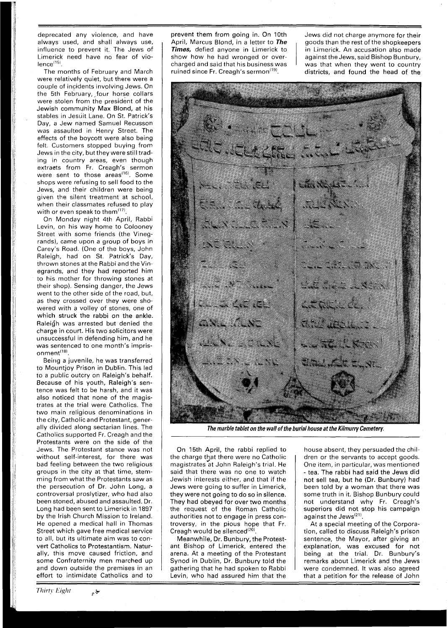deprecated any violence, and have always used, and shall always use, influence to prevent it. The Jews of Limerick need have no fear of vio $lence$  $(15)$ .

The months of February and March were relatively quiet, but there were a couple of incidents involving Jews. On the 5th February, four horse collars were stolen from the president of the Jewish commuhity Max Blond, at his stables in Jesuit Lane. On St. Patrick's Dav. a Jew named Samuel Recusson was assaulted in Henry Street. The effects of the boycott were also being felt. Customers stopped buying from Jews in the city, but they were still trading in country areas, even though extracts from Fr. Creagh's sermon were sent to those areas<sup>(16)</sup>. Some shops were refusing to sell food to the Jews, and their children were being given the silent treatment at school, when their classmates refused to play with or even speak to them $^{(17)}$ .

On Monday night 4th April, Rabbi Levin, on his way home to Colooney Street with some friends (the Vinegrands), came upon a group of boys in Carey's Road. (One of the boys, John Raleigh, had on St. Patrick's Day, thrown stones at the Rabbi and the Vinegrands, and they had reported him to his mother for throwing stones at their shop). Sensing danger, the Jews went to the other side of the road, but, as they crossed over they were showered with a volley of stones, one of which struck the rabbi on the ankle. Raleigh was arrested but denied the charge in court. His two solicitors were unsuccessful in defending him, and he was sentenced to one month's imprisonment<sup>(18)</sup>

Being a juvenile, he was transferred to Mountjoy Prison in Dublin. This led to a public outcry on Raleigh's behalf. Because of his youth, Raleigh's sentence was felt to be harsh, and it was also noticed that none of the magistrates at the trial were Catholics. The two main religious denominations in the city, Catholic and Protestant, generally divided along sectarian lines. The Catholics supported Fr. Creagh and the Protestants were on the side of the Jews. The Protestant stance was not without self-interest, for there was bad feeling between the two religious groups in the city at that time, stemming from what the Protestants saw as the persecution of Dr. John Long, a controversal proslytizer, who had also been stoned, abused and assaulted. Dr. Long had been sent to Limerick in 1897 by the Irish Church Mission to Ireland. He opened a medical hall in Thomas Street which gave free medical service to all, but its ultimate aim was to convert Catholics to Protestantism. Naturally, this move caused friction, and some Confraternity men marched up and down outside the premises in an effort to intimidate Catholics and to

 $\mu$  .

**Thirty Eight** 

prevent them from going in. On 10th April, Marcus Blond, in a letter to **The Times,** defied anyone in Limerick to show how he had wronged or overcharged and said that his business was ruined since Fr. Creagh's sermon $(19)$ .

Jews did not charge anymore for their goods than the rest of the shopkeepers in Limerick. An accusation also made against the Jews, said Bishop Bunbury, was that when they went to country districts, and found the head of the

The marble tablet on the wall of the burial house at the Kilmurry Cemetery.

On 15th April, the rabbi replied to the charge that there were no Catholic magistrates at John Raleigh's trial. He said that there was no one to watch Jewish interests either, and that if the Jews were going to suffer in Limerick, they were not going to do so in silence. They had obeyed for over two months the request of the Roman Catholic authorities not to engage in press controversy, in the pious hope that Fr. Creagh would be silenced $^{(20)}$ .

Meanwhile, Dr. Bunbury, the Protestant Bishop of Limerick, entered the arena. At a meeting of the Protestant Synod in Dublin, Dr. Bunbury told the gathering that he had spoken to Rabbi Levin, who had assured him that the

house absent, they persuaded the children or the servants to accept goods. One item, in particular, was mentioned - tea. The rabbi had said the Jews did not sell tea, but he (Dr. Bunbury) had been told by a woman that there was some truth in it. Bishop Bunbury could not understand why Fr. Creagh's superiors did not stop his campaign against the Jews<sup>(21)</sup>.

At a special meeting of the Corporation, called to discuss Raleigh's prison sentence, the Mayor, after giving an explanation, was excused for not being at the trial. Dr. Bunbury's remarks about Limerick and the Jews were condemned. It was also agreed that a petition for the release of John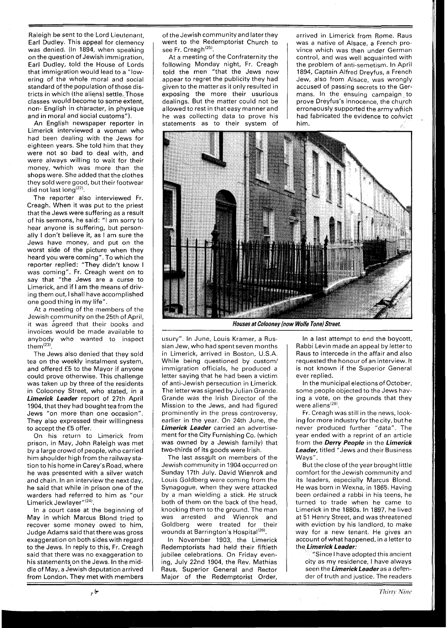Raleigh be sent to the Lord Lieutenant, Earl Dudley. This appeal for clemency was denied. (In 1894, when speaking on the question of Jewish immigration, Earl Dudley, told the House of Lords that immigration would lead to a "lowering of the whole moral and social standard of the population of those districts in which (the aliens) settle. Those classes would become to some extent, non- English in character, in physique and in moral and social customs").

An English newspaper reporter in Limerick interviewed a woman who had been dealing with the Jews for eighteen years. She told him that they were not so bad to deal with, and were always willing to wait for their money, which was more than the shops were. She added that the clothes they sold were good, but their footwear did not last long $^{(22)}$ .

The reporter also interviewed Fr. Creagh. When it was put to the priest that the Jews were suffering as a result of his sermons, he said: "I am sorry to hear anyone is suffering, but personally I don't believe it, as I am sure the Jews have money, and put on the worst side of the picture when they heard you were coming". To which the reporter replied: "They didn't know I was coming". Fr. Creagh went on to say that "the Jews are a curse to Limerick, and if I am the means of driving them out, I shall have accomplished one good thing in my life".

At a meeting of the members of the Jewish community on the 25th of April, it was agreed that their books and invoices would be made available to anybody who wanted to inspect them'23'.

The Jews also denied that they sold tea on the weekly instalment system, and offered **£5** to the Mayor if anyone could prove otherwise. This challenge was taken up by three of the residents in Colooney Street, who stated, in a **Limerick Leader** report of 27th April 1904, that they had bought tea from the Jews "on more than one occasion". They also expressed their willingness to accept the £5 offer.

On his return to Limerick from prison, in May, John Raleigh was met by a large crowd of people, who carried him shoulder high from the railway station to his home in Carey's Road, where he was presented with a silver watch and chain. In an interview the next day, he said that while in prison one of the warders had referred to him as "our Limerick Jewlayer"<sup>(24)</sup>.

In a court case at the beginning of May in which Marcus Blond tried to recover some money owed to him, Judge Adams said that there was gross exaggeration on both sides with regard to the Jews. In reply to this, Fr. Creagh said that there was no exaggeration to his statements on the Jews. In the middle of May, a Jewish deputation arrived from London. They met with members of the Jewish community and laterthey went to the Redemptorist Church to see Fr. Creagh<sup>(25)</sup>.

At a meeting of the Confraternity the following Monday night, Fr. Creagh told the men "that the Jews now appear to regret the publicity they had given to the matter as it only resulted in exposing the more their usurious dealings. But the matter could not be allowed to rest in that easy manner and he was collecting data to prove his statements as to their system of

arrived in Limerick from Rome. Raus was a native of Alsace, a French province which was then under German control, and was well acquainted with the problem of anti-semetism. In April 1894, Captain Alfred Dreyfus, a French Jew, also from Alsace, was wrongly accused of passing secrets to the Germans. In the ensuing campaign to prove Dreyfus's innocence, the church erroneously supported the army which had fabricated the evidence to cohvict him.



**Houses at Colooney (now Wolfe Tone) Street.** 

usury". In June, Louis Kramer, a Russian Jew, who had spent seven months in Limerick, arrived in Boston, U.S.A. While being questioned by custom/ immigration officials, he produced a letter saying that he had been a victim of anti-Jewish persecution in Limerick. The letter was signed by Julian Grande. Grande was the Irish Director of the Mission to the Jews, and had figured prominently in the press controversy, earlier in the year. On 24th June, the **Limerick Leader** carried an advertisement for the City Furnishing Co. (which was owned by a Jewish family) that two-thirds of its goods were Irish.

The last assajlt on members of the Jewish community in 1904occurred on Sunday 17th July. David Wienrok and Louis Goldberg were coming from the Synagogue, when they were attacked by a man wielding a stick. He struck both of them on the back of the head, knocking them to the ground. The man was arrested and Wienrok and Goldberg were treated for their wounds at Barrington's  $Hospital^{(26)}$ .

In November 1903, the Limerick Redemptorists had held their fiftieth jubilee celebrations. On Friday evening, July 22nd 1904, the Rev. Mathias Raus, Superior General and Rector Major of the Redemptorist Order,

In a last attempt to end the boycott, Rabbi Levin made an appeal by letterto Raus to intercede in the affair and also requested the honour of an interview. It is not known if the Superior General ever replied.

In the municipal elections of October, some people objected to the Jews having a vote, on the grounds that they were aliens $^{(28)}$ .

Fr. Creagh was still in the news, looking for more industry for the city, but he never produced further "data". The year ended with a reprint of an article from the Derry People in the Limerick Leader, titled "Jews and their Business Ways".

But the close of the year brought little<sup>'</sup> comfort for the Jewish community and its leaders, especially Marcus Blond. He was born in Wexna, in 1865. Having been ordained a rabbi in his teens, he turned to trade when he came to Limerick in the 1880s. In 1897, he lived at 51 Henry Street, and was threatened with eviction by his landlord, to make way for a new tenant. He gives an account of what happened, in a letter to the **Limerick Leader:** 

"Since I have adopted this anclent city as my residence, I have always seen the **Limerick Leader** as a defender of truth and justice. The readers